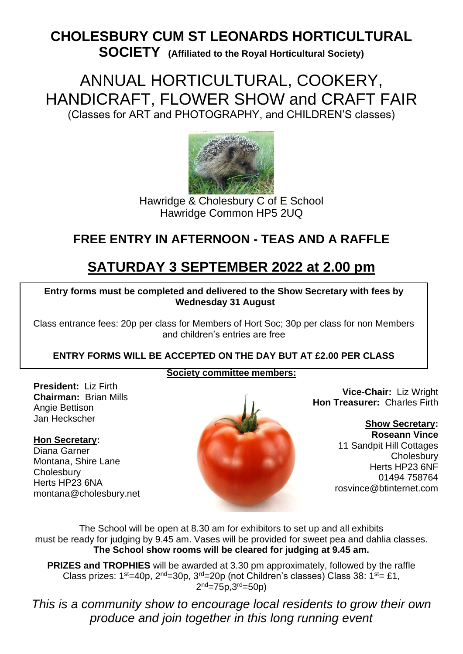# **CHOLESBURY CUM ST LEONARDS HORTICULTURAL**

**SOCIETY (Affiliated to the Royal Horticultural Society)**

ANNUAL HORTICULTURAL, COOKERY, HANDICRAFT, FLOWER SHOW and CRAFT FAIR (Classes for ART and PHOTOGRAPHY, and CHILDREN'S classes)



Hawridge & Cholesbury C of E School Hawridge Common HP5 2UQ

## **FREE ENTRY IN AFTERNOON - TEAS AND A RAFFLE**

# **SATURDAY 3 SEPTEMBER 2022 at 2.00 pm**

 3 **Entry forms must be completed and delivered to the Show Secretary with fees by Wednesday 31 August**

Class entrance fees: 20p per class for Members of Hort Soc; 30p per class for non Members and children's entries are free

#### **ENTRY FORMS WILL BE ACCEPTED ON THE DAY BUT AT £2.00 PER CLASS**

#### **Society committee members:**

**President:** Liz Firth **Chairman:** Brian Mills Angie Bettison Jan Heckscher

#### **Hon Secretary:**

Diana Garner Montana, Shire Lane **Cholesbury** Herts HP23 6NA montana@cholesbury.net



**Vice-Chair:** Liz Wright **Hon Treasurer:** Charles Firth

> **Show Secretary: Roseann Vince** 11 Sandpit Hill Cottages **Cholesbury** Herts HP23 6NF 01494 758764 rosvince@btinternet.com

The School will be open at 8.30 am for exhibitors to set up and all exhibits must be ready for judging by 9.45 am. Vases will be provided for sweet pea and dahlia classes. **The School show rooms will be cleared for judging at 9.45 am.**

**PRIZES and TROPHIES** will be awarded at 3.30 pm approximately, followed by the raffle Class prizes:  $1^{st}$ =40p,  $2^{nd}$ =30p,  $3^{rd}$ =20p (not Children's classes) Class 38:  $1^{st}$ = £1, 2<sup>nd</sup>=75p,3<sup>rd</sup>=50p)

*This is a community show to encourage local residents to grow their own produce and join together in this long running event*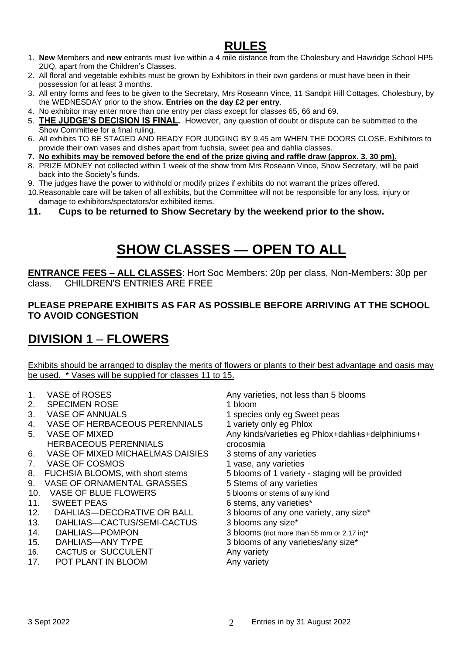## **RULES**

- 1. **New** Members and **new** entrants must live within a 4 mile distance from the Cholesbury and Hawridge School HP5 2UQ, apart from the Children's Classes.
- 2. All floral and vegetable exhibits must be grown by Exhibitors in their own gardens or must have been in their possession for at least 3 months.
- 3. All entry forms and fees to be given to the Secretary, Mrs Roseann Vince, 11 Sandpit Hill Cottages, Cholesbury, by the WEDNESDAY prior to the show. **Entries on the day £2 per entry**.
- 4. No exhibitor may enter more than one entry per class except for classes 65, 66 and 69.
- 5. **THE JUDGE'S DECISION IS FINAL.** However, any question of doubt or dispute can be submitted to the Show Committee for a final ruling.
- 6. All exhibits TO BE STAGED AND READY FOR JUDGING BY 9.45 am WHEN THE DOORS CLOSE. Exhibitors to provide their own vases and dishes apart from fuchsia, sweet pea and dahlia classes.
- **7. No exhibits may be removed before the end of the prize giving and raffle draw (approx. 3. 30 pm).**
- 8. PRIZE MONEY not collected within 1 week of the show from Mrs Roseann Vince, Show Secretary, will be paid back into the Society's funds.
- 9. The judges have the power to withhold or modify prizes if exhibits do not warrant the prizes offered.
- 10.Reasonable care will be taken of all exhibits, but the Committee will not be responsible for any loss, injury or damage to exhibitors/spectators/or exhibited items.
- **11. Cups to be returned to Show Secretary by the weekend prior to the show.**

# **SHOW CLASSES — OPEN TO ALL**

**ENTRANCE FEES – ALL CLASSES**: Hort Soc Members: 20p per class, Non-Members: 30p per class. CHILDREN'S ENTRIES ARE FREE

#### **PLEASE PREPARE EXHIBITS AS FAR AS POSSIBLE BEFORE ARRIVING AT THE SCHOOL TO AVOID CONGESTION**

### **DIVISION 1** – **FLOWERS**

Exhibits should be arranged to display the merits of flowers or plants to their best advantage and oasis may be used. \* Vases will be supplied for classes 11 to 15.

- 
- 2. SPECIMEN ROSE 1 bloom
- 
- 4. VASE OF HERBACEOUS PERENNIALS 1 variety only eg Phlox
- HERBACEOUS PERENNIALS crocosmia
- 6. VASE OF MIXED MICHAELMAS DAISIES 3 stems of any varieties
- 7. VASE OF COSMOS 1 vase, any varieties
- 
- 
- 
- 
- 
- 13. DAHLIAS—CACTUS/SEMI-CACTUS 3 blooms any size\*
- 
- 
- 16. CACTUS or SUCCULENT Any variety
- 17. POT PLANT IN BLOOM Any variety
- 1. VASE of ROSES Any varieties, not less than 5 blooms
	-
- 3. VASE OF ANNUALS 1 species only eq Sweet peas
	-
- 5. VASE OF MIXED Any kinds/varieties eg Phlox+dahlias+delphiniums+
	-
	-
- 8. FUCHSIA BLOOMS, with short stems 5 blooms of 1 variety staging will be provided
- 9. VASE OF ORNAMENTAL GRASSES 5 Stems of any varieties
- 10. VASE OF BLUE FLOWERS 5 blooms or stems of any kind
- 11. SWEET PEAS 6 stems, any varieties\*
- 12. DAHLIAS—DECORATIVE OR BALL 3 blooms of any one variety, any size\*
	-
- 14. DAHLIAS—POMPON 3 blooms (not more than 55 mm or 2.17 in)\*
- 15. DAHLIAS—ANY TYPE 3 blooms of any varieties/any size\*
	-
	-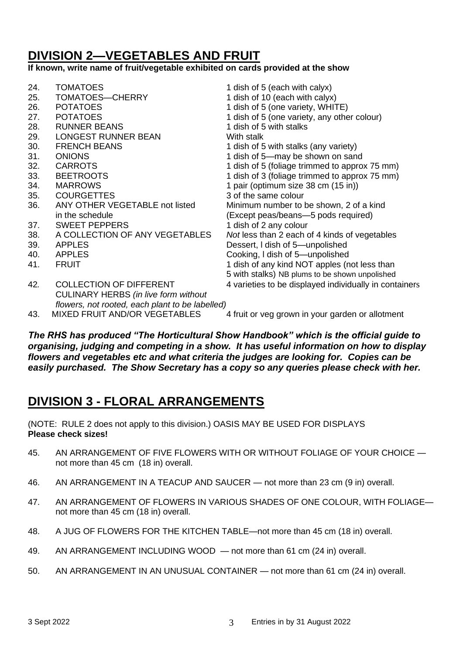## **DIVISION 2—VEGETABLES AND FRUIT**

#### **If known, write name of fruit/vegetable exhibited on cards provided at the show**

| 24. | <b>TOMATOES</b>                                 | 1 dish of 5 (each with calyx)                          |
|-----|-------------------------------------------------|--------------------------------------------------------|
| 25. | TOMATOES-CHERRY                                 | 1 dish of 10 (each with calyx)                         |
| 26. | <b>POTATOES</b>                                 | 1 dish of 5 (one variety, WHITE)                       |
| 27. | <b>POTATOES</b>                                 | 1 dish of 5 (one variety, any other colour)            |
| 28. | <b>RUNNER BEANS</b>                             | 1 dish of 5 with stalks                                |
| 29. | <b>LONGEST RUNNER BEAN</b>                      | With stalk                                             |
| 30. | <b>FRENCH BEANS</b>                             | 1 dish of 5 with stalks (any variety)                  |
| 31. | <b>ONIONS</b>                                   | 1 dish of 5—may be shown on sand                       |
| 32. | <b>CARROTS</b>                                  | 1 dish of 5 (foliage trimmed to approx 75 mm)          |
| 33. | <b>BEETROOTS</b>                                | 1 dish of 3 (foliage trimmed to approx 75 mm)          |
| 34. | <b>MARROWS</b>                                  | 1 pair (optimum size 38 cm (15 in))                    |
| 35. | <b>COURGETTES</b>                               | 3 of the same colour                                   |
| 36. | ANY OTHER VEGETABLE not listed                  | Minimum number to be shown, 2 of a kind                |
|     | in the schedule                                 | (Except peas/beans-5 pods required)                    |
| 37. | <b>SWEET PEPPERS</b>                            | 1 dish of 2 any colour                                 |
| 38. | A COLLECTION OF ANY VEGETABLES                  | Not less than 2 each of 4 kinds of vegetables          |
| 39. | <b>APPLES</b>                                   | Dessert, I dish of 5-unpolished                        |
| 40. | <b>APPLES</b>                                   | Cooking, I dish of 5—unpolished                        |
| 41. | <b>FRUIT</b>                                    | 1 dish of any kind NOT apples (not less than           |
|     |                                                 | 5 with stalks) NB plums to be shown unpolished         |
| 42. | <b>COLLECTION OF DIFFERENT</b>                  | 4 varieties to be displayed individually in containers |
|     | <b>CULINARY HERBS (in live form without</b>     |                                                        |
|     | flowers, not rooted, each plant to be labelled) |                                                        |
| 43. | MIXED FRUIT AND/OR VEGETABLES                   | 4 fruit or veg grown in your garden or allotment       |

*The RHS has produced "The Horticultural Show Handbook" which is the official guide to organising, judging and competing in a show. It has useful information on how to display flowers and vegetables etc and what criteria the judges are looking for. Copies can be easily purchased. The Show Secretary has a copy so any queries please check with her.*

### **DIVISION 3 - FLORAL ARRANGEMENTS**

(NOTE: RULE 2 does not apply to this division.) OASIS MAY BE USED FOR DISPLAYS **Please check sizes!**

- 45. AN ARRANGEMENT OF FIVE FLOWERS WITH OR WITHOUT FOLIAGE OF YOUR CHOICE not more than 45 cm (18 in) overall.
- 46. AN ARRANGEMENT IN A TEACUP AND SAUCER not more than 23 cm (9 in) overall.
- 47. AN ARRANGEMENT OF FLOWERS IN VARIOUS SHADES OF ONE COLOUR, WITH FOLIAGE not more than 45 cm (18 in) overall.
- 48. A JUG OF FLOWERS FOR THE KITCHEN TABLE—not more than 45 cm (18 in) overall.
- 49. AN ARRANGEMENT INCLUDING WOOD not more than 61 cm (24 in) overall.
- 50. AN ARRANGEMENT IN AN UNUSUAL CONTAINER not more than 61 cm (24 in) overall.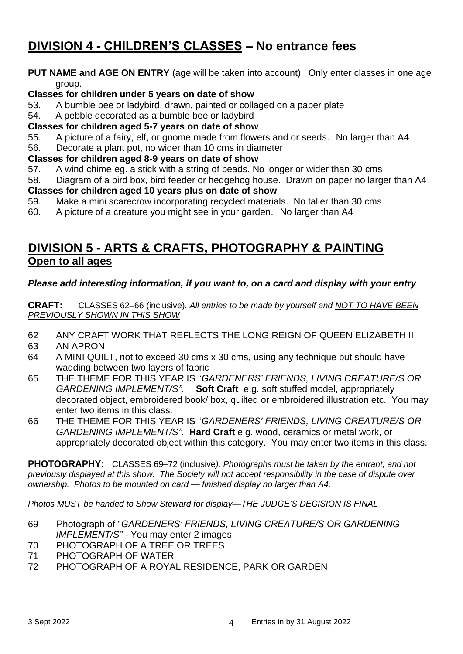## **DIVISION 4 - CHILDREN'S CLASSES – No entrance fees**

#### **PUT NAME and AGE ON ENTRY** (age will be taken into account). Only enter classes in one age group.

#### **Classes for children under 5 years on date of show**

53. A bumble bee or ladybird, drawn, painted or collaged on a paper plate

54. A pebble decorated as a bumble bee or ladybird

#### **Classes for children aged 5-7 years on date of show**

- 55. A picture of a fairy, elf, or gnome made from flowers and or seeds. No larger than A4
- 56. Decorate a plant pot, no wider than 10 cms in diameter

#### **Classes for children aged 8-9 years on date of show**

57. A wind chime eg. a stick with a string of beads. No longer or wider than 30 cms

58. Diagram of a bird box, bird feeder or hedgehog house. Drawn on paper no larger than A4 **Classes for children aged 10 years plus on date of show**

- 59. Make a mini scarecrow incorporating recycled materials. No taller than 30 cms
- 60. A picture of a creature you might see in your garden. No larger than A4

### **DIVISION 5 - ARTS & CRAFTS, PHOTOGRAPHY & PAINTING Open to all ages**

#### *Please add interesting information, if you want to, on a card and display with your entry*

**CRAFT:** CLASSES 62–66 (inclusive). *All entries to be made by yourself and NOT TO HAVE BEEN PREVIOUSLY SHOWN IN THIS SHOW*

- 62 ANY CRAFT WORK THAT REFLECTS THE LONG REIGN OF QUEEN ELIZABETH II
- 63 AN APRON
- 64 A MINI QUILT, not to exceed 30 cms x 30 cms, using any technique but should have wadding between two layers of fabric
- 65 THE THEME FOR THIS YEAR IS "*GARDENERS' FRIENDS, LIVING CREATURE/S OR GARDENING IMPLEMENT/S".* **Soft Craft** e.g. soft stuffed model, appropriately decorated object, embroidered book/ box, quilted or embroidered illustration etc. You may enter two items in this class.
- 66 THE THEME FOR THIS YEAR IS "*GARDENERS' FRIENDS, LIVING CREATURE/S OR GARDENING IMPLEMENT/S".* **Hard Craft** e.g. wood, ceramics or metal work, or appropriately decorated object within this category. You may enter two items in this class.

**PHOTOGRAPHY:** CLASSES 69–72 (inclusive*). Photographs must be taken by the entrant, and not previously displayed at this show. The Society will not accept responsibility in the case of dispute over ownership. Photos to be mounted on card — finished display no larger than A4.*

#### *Photos MUST be handed to Show Steward for display—THE JUDGE'S DECISION IS FINAL*

- 69 Photograph of "*GARDENERS' FRIENDS, LIVING CREATURE/S OR GARDENING IMPLEMENT/S" -* You may enter 2 images
- 70 PHOTOGRAPH OF A TREE OR TREES
- 71 PHOTOGRAPH OF WATER
- 72 PHOTOGRAPH OF A ROYAL RESIDENCE, PARK OR GARDEN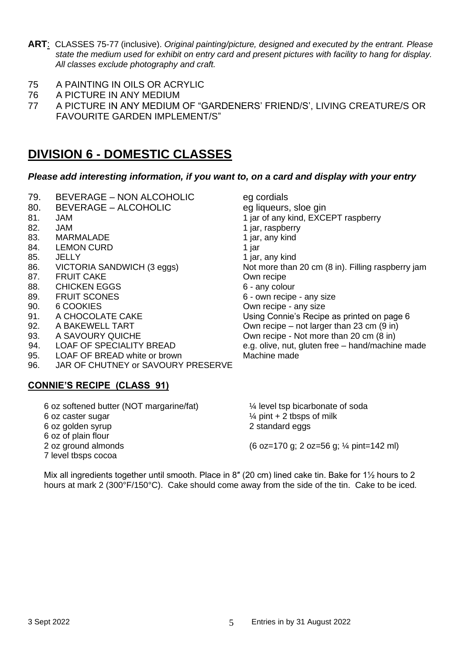- **ART**: CLASSES 75-77 (inclusive). *Original painting/picture, designed and executed by the entrant. Please state the medium used for exhibit on entry card and present pictures with facility to hang for display. All classes exclude photography and craft.*
- 75 A PAINTING IN OILS OR ACRYLIC
- 76 A PICTURE IN ANY MEDIUM
- 77 A PICTURE IN ANY MEDIUM OF "GARDENERS' FRIEND/S', LIVING CREATURE/S OR FAVOURITE GARDEN IMPLEMENT/S"

### **DIVISION 6 - DOMESTIC CLASSES**

#### *Please add interesting information, if you want to, on a card and display with your entry*

- 79. BEVERAGE NON ALCOHOLIC eg cordials
- 80. BEVERAGE ALCOHOLIC eq liqueurs, sloe gin
- 
- 
- 83. MARMALADE 1 jar, any kind
- 84. LEMON CURD 1 jar
- 85. JELLY 1 jar, any kind
- 
- 87. FRUIT CAKE Own recipe
- 88. CHICKEN EGGS 6 any colour
- 
- 
- 
- 
- 
- 
- 95. LOAF OF BREAD white or brown Machine made
- 96. JAR OF CHUTNEY or SAVOURY PRESERVE

#### **CONNIE'S RECIPE (CLASS 91)**

81. JAM 1 jar of any kind, EXCEPT raspberry 82. JAM 1 jar, raspberry 86. VICTORIA SANDWICH (3 eggs) Not more than 20 cm (8 in). Filling raspberry jam 89. FRUIT SCONES 6 - own recipe - any size 90. 6 COOKIES COURT CONSERVER CONTROLLED A COURT CONTROLLED A COURT CONTROLLED A COURT CONTROLLED A CONTROLLED 91. A CHOCOLATE CAKE **Network** Using Connie's Recipe as printed on page 6 92. A BAKEWELL TART COWN recipe – not larger than 23 cm (9 in) 93. A SAVOURY QUICHE **OWE COMP FOR SAVIOURY QUICHE** A SAVOURY QUICHE 94. LOAF OF SPECIALITY BREAD e.g. olive, nut, gluten free – hand/machine made

6 oz softened butter (NOT margarine/fat) 6 oz caster sugar 6 oz golden syrup 6 oz of plain flour 2 oz ground almonds 7 level tbsps cocoa ¼ level tsp bicarbonate of soda  $\frac{1}{4}$  pint + 2 tbsps of milk 2 standard eggs (6 oz=170 g; 2 oz=56 g; ¼ pint=142 ml)

Mix all ingredients together until smooth. Place in 8" (20 cm) lined cake tin. Bake for 1<sup>1</sup>/<sub>2</sub> hours to 2 hours at mark 2 (300°F/150°C). Cake should come away from the side of the tin. Cake to be iced.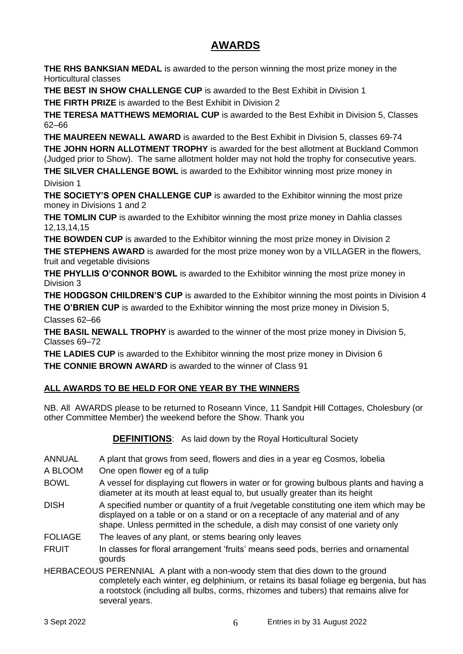### **AWARDS**

**THE RHS BANKSIAN MEDAL** is awarded to the person winning the most prize money in the Horticultural classes

**THE BEST IN SHOW CHALLENGE CUP** is awarded to the Best Exhibit in Division 1

**THE FIRTH PRIZE** is awarded to the Best Exhibit in Division 2

**THE TERESA MATTHEWS MEMORIAL CUP** is awarded to the Best Exhibit in Division 5, Classes 62–66

**THE MAUREEN NEWALL AWARD** is awarded to the Best Exhibit in Division 5, classes 69-74 **THE JOHN HORN ALLOTMENT TROPHY** is awarded for the best allotment at Buckland Common (Judged prior to Show). The same allotment holder may not hold the trophy for consecutive years.

**THE SILVER CHALLENGE BOWL** is awarded to the Exhibitor winning most prize money in Division 1

**THE SOCIETY'S OPEN CHALLENGE CUP** is awarded to the Exhibitor winning the most prize money in Divisions 1 and 2

**THE TOMLIN CUP** is awarded to the Exhibitor winning the most prize money in Dahlia classes 12,13,14,15

**THE BOWDEN CUP** is awarded to the Exhibitor winning the most prize money in Division 2

**THE STEPHENS AWARD** is awarded for the most prize money won by a VILLAGER in the flowers, fruit and vegetable divisions

**THE PHYLLIS O'CONNOR BOWL** is awarded to the Exhibitor winning the most prize money in Division 3

**THE HODGSON CHILDREN'S CUP** is awarded to the Exhibitor winning the most points in Division 4 **THE O'BRIEN CUP** is awarded to the Exhibitor winning the most prize money in Division 5, Classes 62–66

**THE BASIL NEWALL TROPHY** is awarded to the winner of the most prize money in Division 5, Classes 69–72

**THE LADIES CUP** is awarded to the Exhibitor winning the most prize money in Division 6 **THE CONNIE BROWN AWARD** is awarded to the winner of Class 91

#### **ALL AWARDS TO BE HELD FOR ONE YEAR BY THE WINNERS**

NB. All AWARDS please to be returned to Roseann Vince, 11 Sandpit Hill Cottages, Cholesbury (or other Committee Member) the weekend before the Show. Thank you

**DEFINITIONS**: As laid down by the Royal Horticultural Society

- ANNUAL A plant that grows from seed, flowers and dies in a year eg Cosmos, lobelia
- A BLOOM One open flower eg of a tulip
- BOWL A vessel for displaying cut flowers in water or for growing bulbous plants and having a diameter at its mouth at least equal to, but usually greater than its height
- DISH A specified number or quantity of a fruit /vegetable constituting one item which may be displayed on a table or on a stand or on a receptacle of any material and of any shape. Unless permitted in the schedule, a dish may consist of one variety only
- FOLIAGE The leaves of any plant, or stems bearing only leaves
- FRUIT In classes for floral arrangement 'fruits' means seed pods, berries and ornamental gourds
- HERBACEOUS PERENNIAL A plant with a non-woody stem that dies down to the ground completely each winter, eg delphinium, or retains its basal foliage eg bergenia, but has a rootstock (including all bulbs, corms, rhizomes and tubers) that remains alive for several years.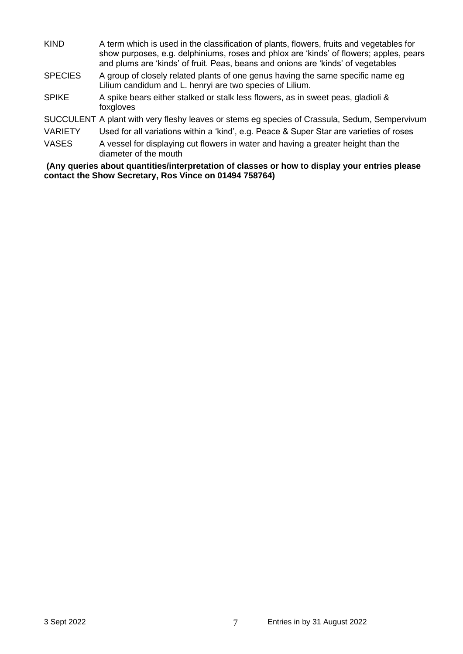- KIND A term which is used in the classification of plants, flowers, fruits and vegetables for show purposes, e.g. delphiniums, roses and phlox are 'kinds' of flowers; apples, pears and plums are 'kinds' of fruit. Peas, beans and onions are 'kinds' of vegetables
- SPECIES A group of closely related plants of one genus having the same specific name eg Lilium candidum and L. henryi are two species of Lilium.
- SPIKE A spike bears either stalked or stalk less flowers, as in sweet peas, gladioli & foxgloves

SUCCULENT A plant with very fleshy leaves or stems eg species of Crassula, Sedum, Sempervivum

VARIETY Used for all variations within a 'kind', e.g. Peace & Super Star are varieties of roses

VASES A vessel for displaying cut flowers in water and having a greater height than the diameter of the mouth

**(Any queries about quantities/interpretation of classes or how to display your entries please contact the Show Secretary, Ros Vince on 01494 758764)**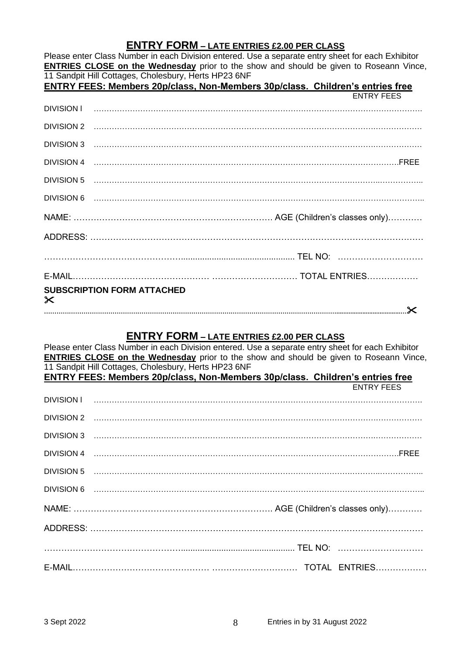#### **ENTRY FORM – LATE ENTRIES £2.00 PER CLASS**

|                                                                                      | Please enter Class Number in each Division entered. Use a separate entry sheet for each Exhibitor<br><b>ENTRIES CLOSE on the Wednesday</b> prior to the show and should be given to Roseann Vince, |  |  |  |  |
|--------------------------------------------------------------------------------------|----------------------------------------------------------------------------------------------------------------------------------------------------------------------------------------------------|--|--|--|--|
|                                                                                      | 11 Sandpit Hill Cottages, Cholesbury, Herts HP23 6NF                                                                                                                                               |  |  |  |  |
| <b>ENTRY FEES: Members 20p/class, Non-Members 30p/class. Children's entries free</b> |                                                                                                                                                                                                    |  |  |  |  |
|                                                                                      | <b>ENTRY FEES</b>                                                                                                                                                                                  |  |  |  |  |
|                                                                                      |                                                                                                                                                                                                    |  |  |  |  |
|                                                                                      |                                                                                                                                                                                                    |  |  |  |  |
|                                                                                      |                                                                                                                                                                                                    |  |  |  |  |
|                                                                                      |                                                                                                                                                                                                    |  |  |  |  |
|                                                                                      |                                                                                                                                                                                                    |  |  |  |  |
|                                                                                      |                                                                                                                                                                                                    |  |  |  |  |
|                                                                                      |                                                                                                                                                                                                    |  |  |  |  |
|                                                                                      |                                                                                                                                                                                                    |  |  |  |  |
|                                                                                      |                                                                                                                                                                                                    |  |  |  |  |
|                                                                                      |                                                                                                                                                                                                    |  |  |  |  |
| $\times$                                                                             | <b>SUBSCRIPTION FORM ATTACHED</b>                                                                                                                                                                  |  |  |  |  |
|                                                                                      |                                                                                                                                                                                                    |  |  |  |  |

#### **ENTRY FORM – LATE ENTRIES £2.00 PER CLASS**

Please enter Class Number in each Division entered. Use a separate entry sheet for each Exhibitor **ENTRIES CLOSE on the Wednesday** prior to the show and should be given to Roseann Vince, 11 Sandpit Hill Cottages, Cholesbury, Herts HP23 6NF

| ENTRY FEES: Members 20p/class, Non-Members 30p/class. Children's entries free | <b>ENTRY FEES</b> |  |
|-------------------------------------------------------------------------------|-------------------|--|
|                                                                               |                   |  |
|                                                                               |                   |  |
|                                                                               |                   |  |
|                                                                               |                   |  |
|                                                                               |                   |  |
|                                                                               |                   |  |
|                                                                               |                   |  |
|                                                                               |                   |  |
|                                                                               |                   |  |
|                                                                               |                   |  |